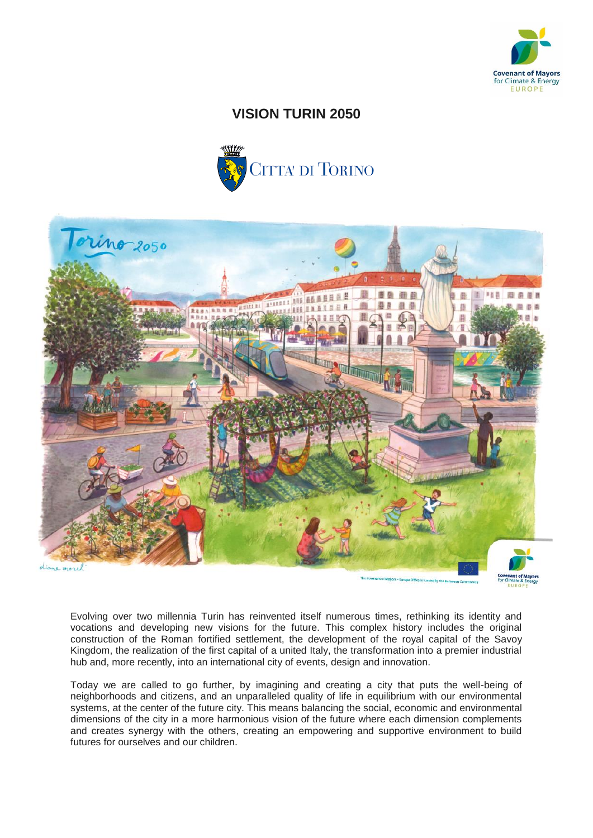

# **VISION TURIN 2050**





Evolving over two millennia Turin has reinvented itself numerous times, rethinking its identity and vocations and developing new visions for the future. This complex history includes the original construction of the Roman fortified settlement, the development of the royal capital of the Savoy Kingdom, the realization of the first capital of a united Italy, the transformation into a premier industrial hub and, more recently, into an international city of events, design and innovation.

Today we are called to go further, by imagining and creating a city that puts the well-being of neighborhoods and citizens, and an unparalleled quality of life in equilibrium with our environmental systems, at the center of the future city. This means balancing the social, economic and environmental dimensions of the city in a more harmonious vision of the future where each dimension complements and creates synergy with the others, creating an empowering and supportive environment to build futures for ourselves and our children.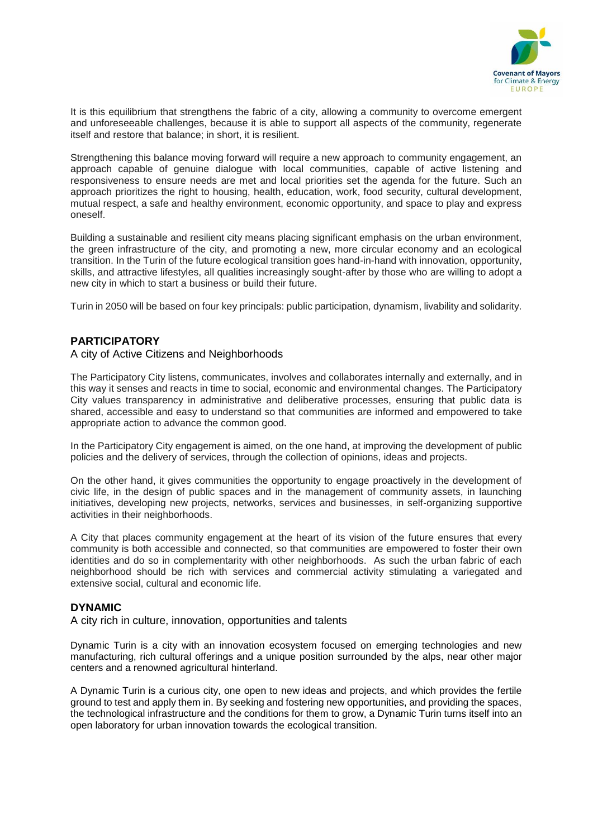

It is this equilibrium that strengthens the fabric of a city, allowing a community to overcome emergent and unforeseeable challenges, because it is able to support all aspects of the community, regenerate itself and restore that balance; in short, it is resilient.

Strengthening this balance moving forward will require a new approach to community engagement, an approach capable of genuine dialogue with local communities, capable of active listening and responsiveness to ensure needs are met and local priorities set the agenda for the future. Such an approach prioritizes the right to housing, health, education, work, food security, cultural development, mutual respect, a safe and healthy environment, economic opportunity, and space to play and express oneself.

Building a sustainable and resilient city means placing significant emphasis on the urban environment, the green infrastructure of the city, and promoting a new, more circular economy and an ecological transition. In the Turin of the future ecological transition goes hand-in-hand with innovation, opportunity, skills, and attractive lifestyles, all qualities increasingly sought-after by those who are willing to adopt a new city in which to start a business or build their future.

Turin in 2050 will be based on four key principals: public participation, dynamism, livability and solidarity.

# **PARTICIPATORY**

#### A city of Active Citizens and Neighborhoods

The Participatory City listens, communicates, involves and collaborates internally and externally, and in this way it senses and reacts in time to social, economic and environmental changes. The Participatory City values transparency in administrative and deliberative processes, ensuring that public data is shared, accessible and easy to understand so that communities are informed and empowered to take appropriate action to advance the common good.

In the Participatory City engagement is aimed, on the one hand, at improving the development of public policies and the delivery of services, through the collection of opinions, ideas and projects.

On the other hand, it gives communities the opportunity to engage proactively in the development of civic life, in the design of public spaces and in the management of community assets, in launching initiatives, developing new projects, networks, services and businesses, in self-organizing supportive activities in their neighborhoods.

A City that places community engagement at the heart of its vision of the future ensures that every community is both accessible and connected, so that communities are empowered to foster their own identities and do so in complementarity with other neighborhoods. As such the urban fabric of each neighborhood should be rich with services and commercial activity stimulating a variegated and extensive social, cultural and economic life.

## **DYNAMIC**

A city rich in culture, innovation, opportunities and talents

Dynamic Turin is a city with an innovation ecosystem focused on emerging technologies and new manufacturing, rich cultural offerings and a unique position surrounded by the alps, near other major centers and a renowned agricultural hinterland.

A Dynamic Turin is a curious city, one open to new ideas and projects, and which provides the fertile ground to test and apply them in. By seeking and fostering new opportunities, and providing the spaces, the technological infrastructure and the conditions for them to grow, a Dynamic Turin turns itself into an open laboratory for urban innovation towards the ecological transition.